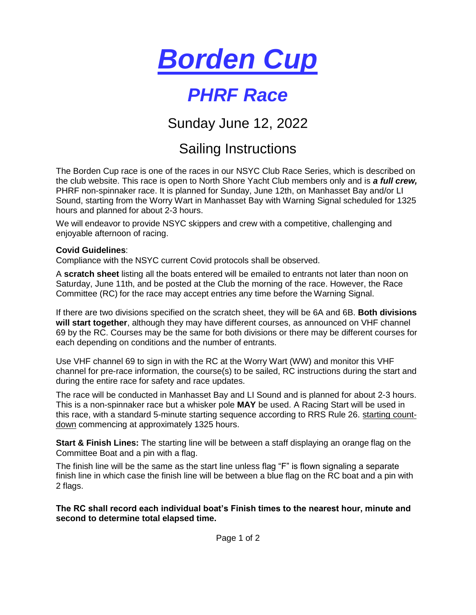

## *PHRF Race*

Sunday June 12, 2022

## Sailing Instructions

The Borden Cup race is one of the races in our NSYC Club Race Series, which is described on the club website. This race is open to North Shore Yacht Club members only and is *a full crew,* PHRF non-spinnaker race. It is planned for Sunday, June 12th, on Manhasset Bay and/or LI Sound, starting from the Worry Wart in Manhasset Bay with Warning Signal scheduled for 1325 hours and planned for about 2-3 hours.

We will endeavor to provide NSYC skippers and crew with a competitive, challenging and enjoyable afternoon of racing.

## **Covid Guidelines**:

Compliance with the NSYC current Covid protocols shall be observed.

A **scratch sheet** listing all the boats entered will be emailed to entrants not later than noon on Saturday, June 11th, and be posted at the Club the morning of the race. However, the Race Committee (RC) for the race may accept entries any time before the Warning Signal.

If there are two divisions specified on the scratch sheet, they will be 6A and 6B. **Both divisions will start together**, although they may have different courses, as announced on VHF channel 69 by the RC. Courses may be the same for both divisions or there may be different courses for each depending on conditions and the number of entrants.

Use VHF channel 69 to sign in with the RC at the Worry Wart (WW) and monitor this VHF channel for pre-race information, the course(s) to be sailed, RC instructions during the start and during the entire race for safety and race updates.

The race will be conducted in Manhasset Bay and LI Sound and is planned for about 2-3 hours. This is a non-spinnaker race but a whisker pole **MAY** be used. A Racing Start will be used in this race, with a standard 5-minute starting sequence according to RRS Rule 26. starting countdown commencing at approximately 1325 hours.

**Start & Finish Lines:** The starting line will be between a staff displaying an orange flag on the Committee Boat and a pin with a flag.

The finish line will be the same as the start line unless flag "F" is flown signaling a separate finish line in which case the finish line will be between a blue flag on the RC boat and a pin with 2 flags.

**The RC shall record each individual boat's Finish times to the nearest hour, minute and second to determine total elapsed time.**